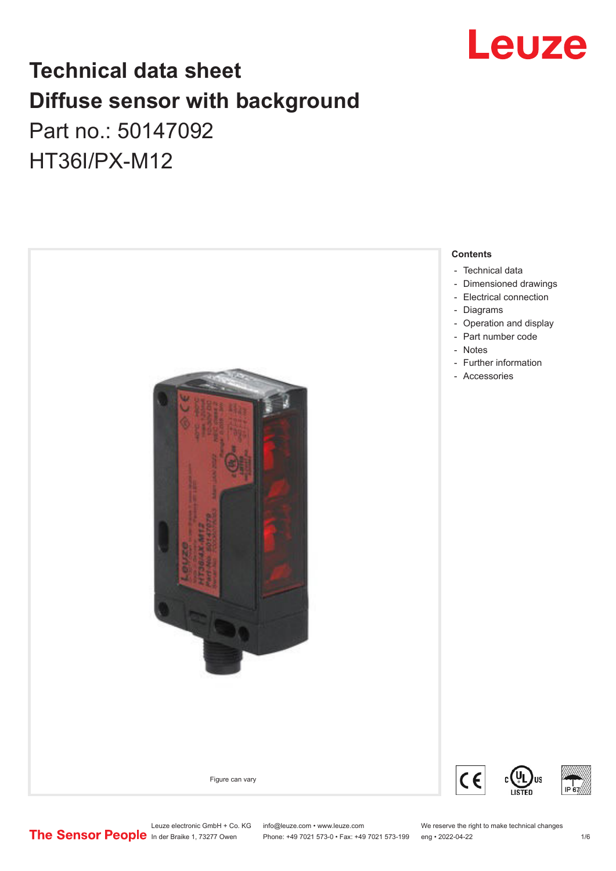

# **Technical data sheet Diffuse sensor with background**  Part no.: 50147092 HT36I/PX-M12



Leuze electronic GmbH + Co. KG info@leuze.com • www.leuze.com We reserve the right to make technical changes<br>
The Sensor People in der Braike 1, 73277 Owen Phone: +49 7021 573-0 • Fax: +49 7021 573-199 eng • 2022-04-22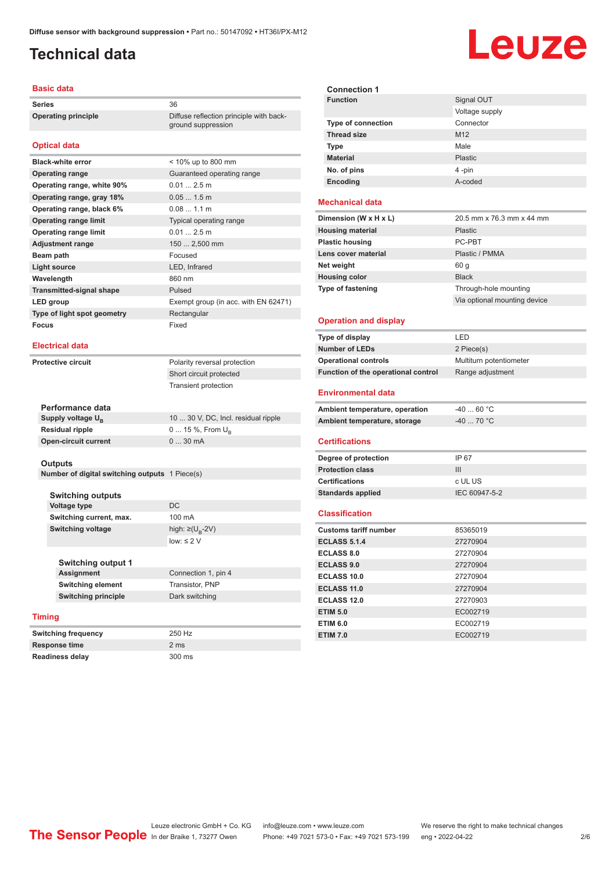ground suppression

## <span id="page-1-0"></span>**Technical data**

### **Basic data**

**Series** 36 **Operating principle** Diffuse reflection principle with back-

### **Optical data**

| <b>Black-white error</b>        | < 10% up to 800 mm                   |
|---------------------------------|--------------------------------------|
| <b>Operating range</b>          | Guaranteed operating range           |
| Operating range, white 90%      | 0.012.5m                             |
| Operating range, gray 18%       | $0.051.5$ m                          |
| Operating range, black 6%       | 0.081.1 m                            |
| <b>Operating range limit</b>    | Typical operating range              |
| <b>Operating range limit</b>    | 0.012.5m                             |
| <b>Adjustment range</b>         | $1502,500$ mm                        |
| Beam path                       | Focused                              |
| Light source                    | LED, Infrared                        |
| Wavelength                      | 860 nm                               |
| <b>Transmitted-signal shape</b> | Pulsed                               |
| LED group                       | Exempt group (in acc. with EN 62471) |
| Type of light spot geometry     | Rectangular                          |
| <b>Focus</b>                    | Fixed                                |

#### **Electrical data**

**Protective circuit** Polarity reversal protection

Short circuit protected Transient protection

| 10  30 V, DC, Incl. residual ripple |
|-------------------------------------|
| 0  15 %, From $U_{\rm B}$           |
| $030$ mA                            |
|                                     |

#### **Outputs**

**Number of digital switching outputs** 1 Piece(s)

| <b>Switching outputs</b> |                                   |
|--------------------------|-----------------------------------|
| Voltage type             | DC.                               |
| Switching current, max.  | 100 mA                            |
| Switching voltage        | high: $\geq$ (U <sub>p</sub> -2V) |

**Switching current, max.** 100 mA low: ≤ 2  $V$ 

**Connection 1, pin 4** 

**Switching output 1 Switching element** Transistor, PNP **Switching principle** Dark switching

### **Timing**

**Switching frequency** 250 Hz **Response time** 2 ms **Readiness delay** 300 ms

| <b>Function</b>                     | Signal OUT                   |  |
|-------------------------------------|------------------------------|--|
|                                     | Voltage supply               |  |
| <b>Type of connection</b>           | Connector                    |  |
| <b>Thread size</b>                  | M12                          |  |
| <b>Type</b>                         | Male                         |  |
| <b>Material</b>                     | <b>Plastic</b>               |  |
| No. of pins                         | 4-pin                        |  |
| Encoding                            | A-coded                      |  |
|                                     |                              |  |
| <b>Mechanical data</b>              |                              |  |
| Dimension (W x H x L)               | 20.5 mm x 76.3 mm x 44 mm    |  |
| <b>Housing material</b>             | <b>Plastic</b>               |  |
| <b>Plastic housing</b>              | PC-PBT                       |  |
| Lens cover material                 | Plastic / PMMA               |  |
| Net weight                          | 60 g                         |  |
| <b>Housing color</b>                | <b>Black</b>                 |  |
| Type of fastening                   | Through-hole mounting        |  |
|                                     | Via optional mounting device |  |
|                                     |                              |  |
| <b>Operation and display</b>        |                              |  |
| Type of display                     | LED                          |  |
| <b>Number of LEDs</b>               | 2 Piece(s)                   |  |
| <b>Operational controls</b>         | Multiturn potentiometer      |  |
| Function of the operational control | Range adjustment             |  |
| <b>Environmental data</b>           |                              |  |
| Ambient temperature, operation      | $-4060 °C$                   |  |
| Ambient temperature, storage        | $-40$ 70 °C                  |  |
|                                     |                              |  |
| <b>Certifications</b>               |                              |  |
| Degree of protection                | IP 67                        |  |
| <b>Protection class</b>             | III                          |  |
| <b>Certifications</b>               | c UL US                      |  |
| <b>Standards applied</b>            | IEC 60947-5-2                |  |
| <b>Classification</b>               |                              |  |
| <b>Customs tariff number</b>        | 85365019                     |  |
| <b>ECLASS 5.1.4</b>                 | 27270904                     |  |
| <b>ECLASS 8.0</b>                   | 27270904                     |  |
| <b>ECLASS 9.0</b>                   | 27270904                     |  |
| <b>ECLASS 10.0</b>                  | 27270904                     |  |
| <b>ECLASS 11.0</b>                  | 27270904                     |  |
| <b>ECLASS 12.0</b>                  | 27270903                     |  |
| <b>ETIM 5.0</b>                     | EC002719                     |  |

**ETIM 6.0** EC002719 **ETIM 7.0** EC002719

**Connection 1**

# Leuze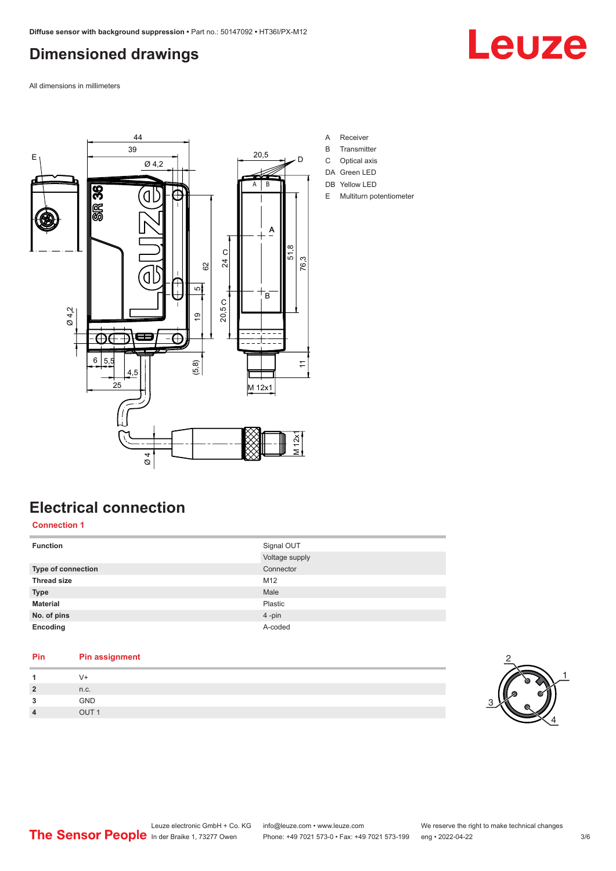## <span id="page-2-0"></span>**Dimensioned drawings**

Leuze

All dimensions in millimeters



# **Electrical connection**

### **Connection 1**

| <b>Function</b>    | Signal OUT     |
|--------------------|----------------|
|                    | Voltage supply |
| Type of connection | Connector      |
| <b>Thread size</b> | M12            |
| <b>Type</b>        | Male           |
| <b>Material</b>    | Plastic        |
| No. of pins        | 4-pin          |
| Encoding           | A-coded        |

### **Pin Pin assignment**

| и              |            |
|----------------|------------|
| $\overline{2}$ | n.c.       |
| 3              | <b>GND</b> |
| $\overline{4}$ | OLIT.      |

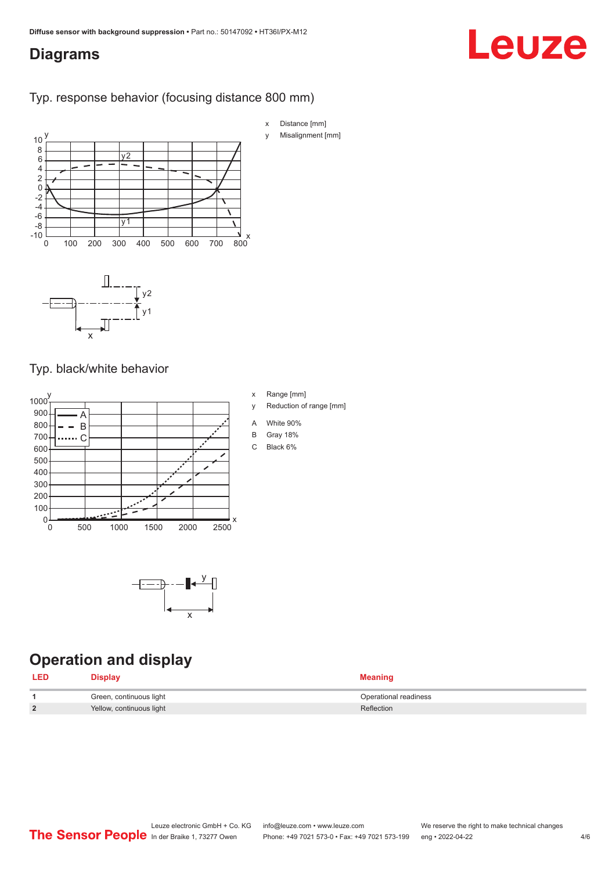### <span id="page-3-0"></span>**Diagrams**

# Leuze

### Typ. response behavior (focusing distance 800 mm)



### Typ. black/white behavior





# **Operation and display**

| <b>LED</b>     | <b>Display</b>           | Meaning               |
|----------------|--------------------------|-----------------------|
|                | Green, continuous light  | Operational readiness |
| $\overline{2}$ | Yellow, continuous light | Reflection            |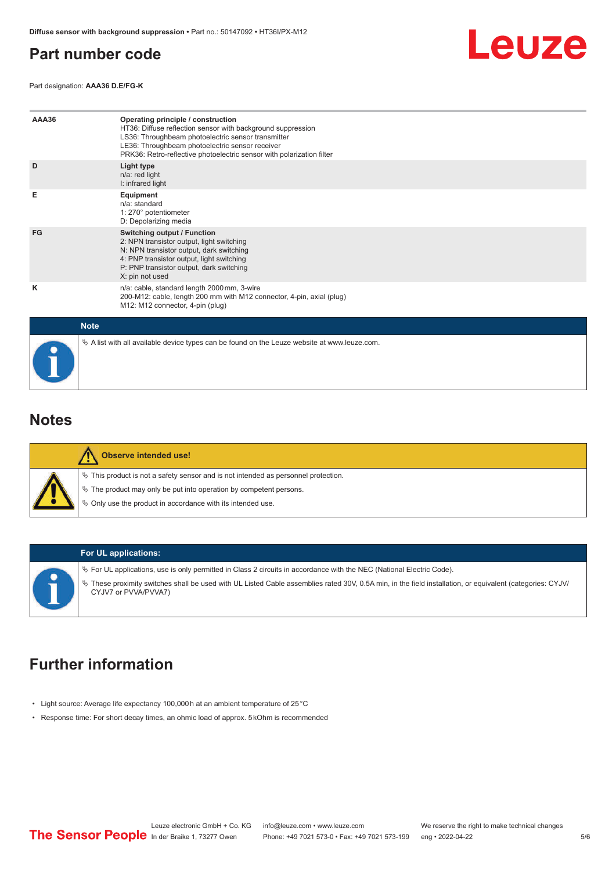### <span id="page-4-0"></span>**Part number code**



Part designation: **AAA36 D.E/FG-K**

| AAA36 | Operating principle / construction<br>HT36: Diffuse reflection sensor with background suppression<br>LS36: Throughbeam photoelectric sensor transmitter<br>LE36: Throughbeam photoelectric sensor receiver<br>PRK36: Retro-reflective photoelectric sensor with polarization filter |
|-------|-------------------------------------------------------------------------------------------------------------------------------------------------------------------------------------------------------------------------------------------------------------------------------------|
| D     | Light type<br>n/a: red light<br>I: infrared light                                                                                                                                                                                                                                   |
| Е     | Equipment<br>n/a: standard<br>1: 270° potentiometer<br>D: Depolarizing media                                                                                                                                                                                                        |
| FG    | <b>Switching output / Function</b><br>2: NPN transistor output, light switching<br>N: NPN transistor output, dark switching<br>4: PNP transistor output, light switching<br>P: PNP transistor output, dark switching<br>X: pin not used                                             |
| κ     | n/a: cable, standard length 2000 mm, 3-wire<br>200-M12: cable, length 200 mm with M12 connector, 4-pin, axial (plug)<br>M12: M12 connector, 4-pin (plug)                                                                                                                            |
|       | <b>Note</b>                                                                                                                                                                                                                                                                         |
|       | $\&$ A list with all available device types can be found on the Leuze website at www.leuze.com.                                                                                                                                                                                     |

### **Notes**

| <b>Observe intended use!</b>                                                                                                                                                                                                  |
|-------------------------------------------------------------------------------------------------------------------------------------------------------------------------------------------------------------------------------|
| $\%$ This product is not a safety sensor and is not intended as personnel protection.<br>$\%$ The product may only be put into operation by competent persons.<br>♦ Only use the product in accordance with its intended use. |

### **For UL applications:**

ª For UL applications, use is only permitted in Class 2 circuits in accordance with the NEC (National Electric Code). ª These proximity switches shall be used with UL Listed Cable assemblies rated 30V, 0.5A min, in the field installation, or equivalent (categories: CYJV/ CYJV7 or PVVA/PVVA7)

### **Further information**

- Light source: Average life expectancy 100,000 h at an ambient temperature of 25 °C
- Response time: For short decay times, an ohmic load of approx. 5 kOhm is recommended